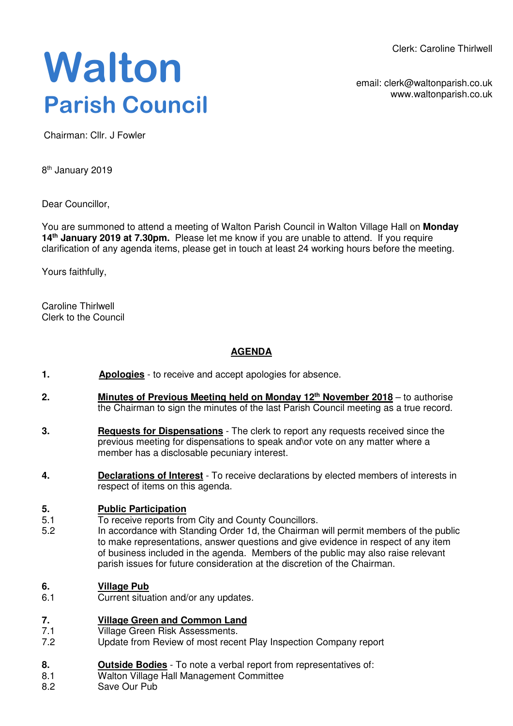Clerk: Caroline Thirlwell

**Walton Parish Council** 

email: clerk@waltonparish.co.uk www.waltonparish.co.uk

Chairman: Cllr. J Fowler

8<sup>th</sup> January 2019

Dear Councillor,

You are summoned to attend a meeting of Walton Parish Council in Walton Village Hall on **Monday 14th January 2019 at 7.30pm.** Please let me know if you are unable to attend. If you require clarification of any agenda items, please get in touch at least 24 working hours before the meeting.

Yours faithfully,

Caroline Thirlwell Clerk to the Council

### **AGENDA**

- **1. Apologies** to receive and accept apologies for absence.
- **2. Minutes of Previous Meeting held on Monday 12th November 2018** to authorise the Chairman to sign the minutes of the last Parish Council meeting as a true record.
- **3. Requests for Dispensations** The clerk to report any requests received since the previous meeting for dispensations to speak and\or vote on any matter where a member has a disclosable pecuniary interest.
- **4. Declarations of Interest** To receive declarations by elected members of interests in respect of items on this agenda.

#### **5. Public Participation**

- 5.1 To receive reports from City and County Councillors.
- 5.2 In accordance with Standing Order 1d, the Chairman will permit members of the public to make representations, answer questions and give evidence in respect of any item of business included in the agenda. Members of the public may also raise relevant parish issues for future consideration at the discretion of the Chairman.

#### **6. Village Pub**

6.1 Current situation and/or any updates.

### **7. Village Green and Common Land**

- 7.1 Village Green Risk Assessments.
- 7.2 Update from Review of most recent Play Inspection Company report
- **8. Outside Bodies** To note a verbal report from representatives of:
- 8.1 Walton Village Hall Management Committee<br>8.2 Save Our Pub
- Save Our Pub